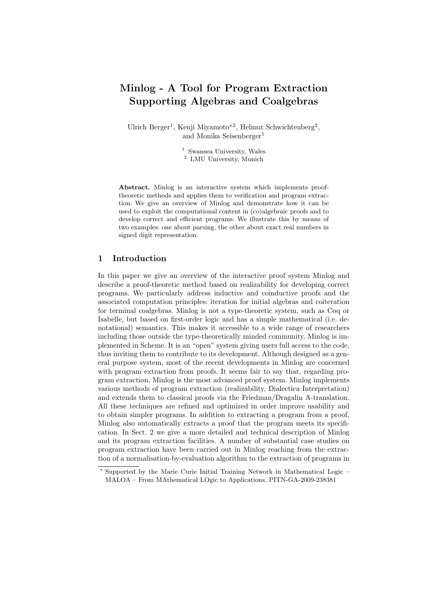# Minlog - A Tool for Program Extraction Supporting Algebras and Coalgebras

Ulrich Berger<sup>1</sup>, Kenji Miyamoto<sup>\*2</sup>, Helmut Schwichtenberg<sup>2</sup>, and Monika Seisenberger<sup>1</sup>

> <sup>1</sup> Swansea University, Wales <sup>2</sup> LMU University, Munich

Abstract. Minlog is an interactive system which implements prooftheoretic methods and applies them to verification and program extraction. We give an overview of Minlog and demonstrate how it can be used to exploit the computational content in (co)algebraic proofs and to develop correct and efficient programs. We illustrate this by means of two examples: one about parsing, the other about exact real numbers in signed digit representation.

## 1 Introduction

In this paper we give an overview of the interactive proof system Minlog and describe a proof-theoretic method based on realizability for developing correct programs. We particularly address inductive and coinductive proofs and the associated computation principles: iteration for initial algebras and coiteration for terminal coalgebras. Minlog is not a type-theoretic system, such as Coq or Isabelle, but based on first-order logic and has a simple mathematical (i.e. denotational) semantics. This makes it accessible to a wide range of researchers including those outside the type-theoretically minded community. Minlog is implemented in Scheme. It is an "open" system giving users full access to the code, thus inviting them to contribute to its development. Although designed as a general purpose system, most of the recent developments in Minlog are concerned with program extraction from proofs. It seems fair to say that, regarding program extraction, Minlog is the most advanced proof system. Minlog implements various methods of program extraction (realizability, Dialectica Interpretation) and extends them to classical proofs via the Friedman/Dragalin A-translation. All these techniques are refined and optimized in order improve usability and to obtain simpler programs. In addition to extracting a program from a proof, Minlog also automatically extracts a proof that the program meets its specification. In Sect. 2 we give a more detailed and technical description of Minlog and its program extraction facilities. A number of substantial case studies on program extraction have been carried out in Minlog reaching from the extraction of a normalisation-by-evaluation algorithm to the extraction of programs in

<sup>?</sup> Supported by the Marie Curie Initial Training Network in Mathematical Logic – MALOA – From MAthematical LOgic to Applications, PITN-GA-2009-238381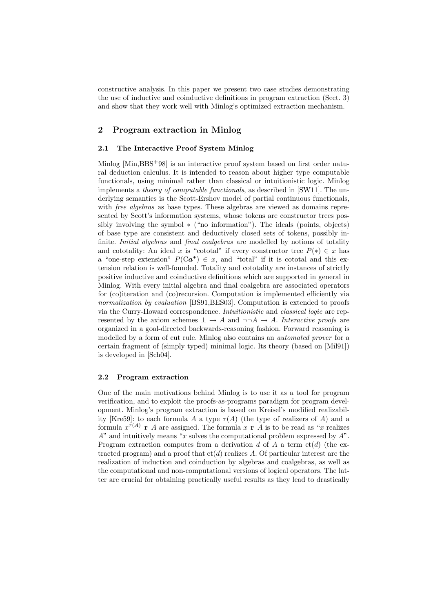constructive analysis. In this paper we present two case studies demonstrating the use of inductive and coinductive definitions in program extraction (Sect. 3) and show that they work well with Minlog's optimized extraction mechanism.

# 2 Program extraction in Minlog

#### 2.1 The Interactive Proof System Minlog

Minlog [Min, BBS<sup>+</sup>98] is an interactive proof system based on first order natural deduction calculus. It is intended to reason about higher type computable functionals, using minimal rather than classical or intuitionistic logic. Minlog implements a theory of computable functionals, as described in [SW11]. The underlying semantics is the Scott-Ershov model of partial continuous functionals, with *free algebras* as base types. These algebras are viewed as domains represented by Scott's information systems, whose tokens are constructor trees possibly involving the symbol ∗ ("no information"). The ideals (points, objects) of base type are consistent and deductively closed sets of tokens, possibly infinite. *Initial algebras* and *final coalgebras* are modelled by notions of totality and cototality: An ideal x is "cototal" if every constructor tree  $P(*) \in x$  has a "one-step extension"  $P(Ca^*) \in x$ , and "total" if it is cototal and this extension relation is well-founded. Totality and cototality are instances of strictly positive inductive and coinductive definitions which are supported in general in Minlog. With every initial algebra and final coalgebra are associated operators for (co)iteration and (co)recursion. Computation is implemented efficiently via normalization by evaluation [BS91,BES03]. Computation is extended to proofs via the Curry-Howard correspondence. Intuitionistic and classical logic are represented by the axiom schemes  $\perp \to A$  and  $\neg\neg A \to A$ . Interactive proofs are organized in a goal-directed backwards-reasoning fashion. Forward reasoning is modelled by a form of cut rule. Minlog also contains an automated prover for a certain fragment of (simply typed) minimal logic. Its theory (based on [Mil91]) is developed in [Sch04].

## 2.2 Program extraction

One of the main motivations behind Minlog is to use it as a tool for program verification, and to exploit the proofs-as-programs paradigm for program development. Minlog's program extraction is based on Kreisel's modified realizability [Kre59]: to each formula A a type  $\tau(A)$  (the type of realizers of A) and a formula  $x^{\tau(A)}$  **r** A are assigned. The formula x **r** A is to be read as "x realizes  $A^{\prime\prime}$  and intuitively means "x solves the computational problem expressed by  $A^{\prime\prime}$ . Program extraction computes from a derivation d of A a term  $et(d)$  (the extracted program) and a proof that  $et(d)$  realizes A. Of particular interest are the realization of induction and coinduction by algebras and coalgebras, as well as the computational and non-computational versions of logical operators. The latter are crucial for obtaining practically useful results as they lead to drastically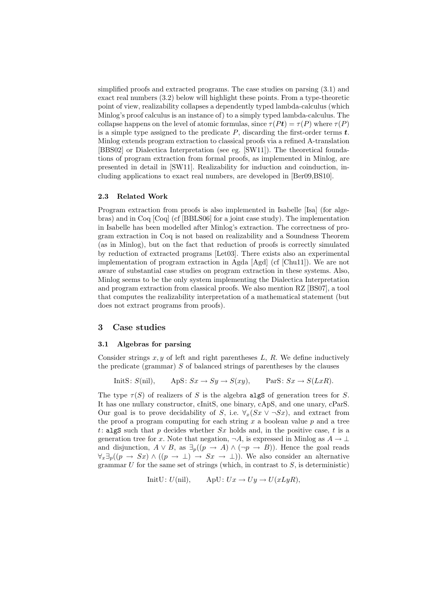simplified proofs and extracted programs. The case studies on parsing  $(3.1)$  and exact real numbers (3.2) below will highlight these points. From a type-theoretic point of view, realizability collapses a dependently typed lambda-calculus (which Minlog's proof calculus is an instance of) to a simply typed lambda-calculus. The collapse happens on the level of atomic formulas, since  $\tau(Pt) = \tau(P)$  where  $\tau(P)$ is a simple type assigned to the predicate  $P$ , discarding the first-order terms  $t$ . Minlog extends program extraction to classical proofs via a refined A-translation [BBS02] or Dialectica Interpretation (see eg. [SW11]). The theoretical foundations of program extraction from formal proofs, as implemented in Minlog, are presented in detail in [SW11]. Realizability for induction and coinduction, including applications to exact real numbers, are developed in [Ber09,BS10].

## 2.3 Related Work

Program extraction from proofs is also implemented in Isabelle [Isa] (for algebras) and in Coq [Coq] (cf [BBLS06] for a joint case study). The implementation in Isabelle has been modelled after Minlog's extraction. The correctness of program extraction in Coq is not based on realizability and a Soundness Theorem (as in Minlog), but on the fact that reduction of proofs is correctly simulated by reduction of extracted programs [Let03]. There exists also an experimental implementation of program extraction in Agda [Agd] (cf [Chu11]). We are not aware of substantial case studies on program extraction in these systems. Also, Minlog seems to be the only system implementing the Dialectica Interpretation and program extraction from classical proofs. We also mention RZ [BS07], a tool that computes the realizability interpretation of a mathematical statement (but does not extract programs from proofs).

## 3 Case studies

#### 3.1 Algebras for parsing

Consider strings  $x, y$  of left and right parentheses  $L, R$ . We define inductively the predicate (grammar)  $S$  of balanced strings of parentheses by the clauses

InitS:  $S(nil)$ , ApS:  $Sx \to Sy \to S(xy)$ , ParS:  $Sx \to S(LxR)$ .

The type  $\tau(S)$  of realizers of S is the algebra algs of generation trees for S. It has one nullary constructor, cInitS, one binary, cApS, and one unary, cParS. Our goal is to prove decidability of S, i.e.  $\forall_x(Sx \lor \neg Sx)$ , and extract from the proof a program computing for each string  $x$  a boolean value  $p$  and a tree t: algS such that p decides whether  $Sx$  holds and, in the positive case, t is a generation tree for x. Note that negation,  $\neg A$ , is expressed in Minlog as  $A \to \bot$ and disjunction,  $A \vee B$ , as  $\exists_p((p \rightarrow A) \wedge (\neg p \rightarrow B))$ . Hence the goal reads  $\forall_x \exists_p ((p \rightarrow Sx) \land ((p \rightarrow \bot) \rightarrow Sx \rightarrow \bot))$ . We also consider an alternative grammar  $U$  for the same set of strings (which, in contrast to  $S$ , is deterministic)

$$
InitU: U(nil), \qquad ApU: Ux \to Uy \to U(xLyR),
$$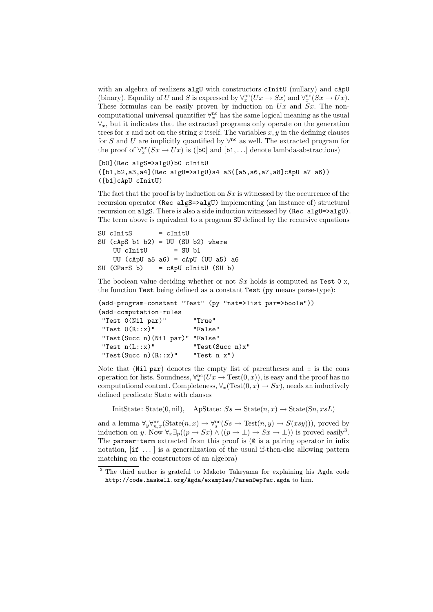with an algebra of realizers algU with constructors cInitU (nullary) and cApU (binary). Equality of U and S is expressed by  $\forall_x^{\text{nc}}(Ux \to Sx)$  and  $\forall_x^{\text{nc}}(Sx \to Ux)$ . These formulas can be easily proven by induction on  $Ux$  and  $Sx$ . The noncomputational universal quantifier  $\forall_x^{\text{nc}}$  has the same logical meaning as the usual  $\forall x$ , but it indicates that the extracted programs only operate on the generation trees for x and not on the string x itself. The variables  $x, y$  in the defining clauses for S and U are implicitly quantified by  $\forall^{nc}$  as well. The extracted program for the proof of  $\forall_x^{\text{nc}}(Sx \to Ux)$  is ([b0] and [b1,...] denote lambda-abstractions)

```
[b0] (Rec algS=>algU)b0 cInitU
([b1,b2,a3,a4](Rec algU=>algU)a4 a3([a5,a6,a7,a8]cApU a7 a6))
([b1]cApU cInitU)
```
The fact that the proof is by induction on  $Sx$  is witnessed by the occurrence of the recursion operator (Rec algS=>algU) implementing (an instance of) structural recursion on algS. There is also a side induction witnessed by (Rec  $algU=>\text{alg}$ ). The term above is equivalent to a program SU defined by the recursive equations

SU cInitS = cInitU SU (cApS  $b1 b2$ ) = UU (SU  $b2$ ) where UU cInitU = SU b1 UU  $(cApU a5 a6) = cApU (UU a5) a6$ SU (CParS b) = cApU cInitU (SU b)

The boolean value deciding whether or not  $Sx$  holds is computed as Test 0 x, the function Test being defined as a constant Test (py means parse-type):

```
(add-program-constant "Test" (py "nat=>list par=>boole"))
(add-computation-rules
"Test 0(Nil par)" "True"
"Test 0(R::x)" "False"
"Test(Succ n)(Nil par)" "False"
"Test n(L::x)" "Test(Succ n)x"
"Test(Succ n)(R::x)" "Test n x")
```
Note that (Nil par) denotes the empty list of parentheses and :: is the cons operation for lists. Soundness,  $\forall_x^{\text{nc}}(Ux \to \text{Test}(0,x))$ , is easy and the proof has no computational content. Completeness,  $\forall_x(\text{Test}(0, x) \rightarrow Sx)$ , needs an inductively defined predicate State with clauses

InitState: State(0, nil), ApState:  $S_s \rightarrow$  State( $n, x$ )  $\rightarrow$  State( $S_n, xsL$ )

and a lemma  $\forall y \forall_{n,x}^{\text{nc}} (\text{State}(n,x) \rightarrow \forall_s^{\text{nc}}(S_s \rightarrow \text{Test}(n,y) \rightarrow S(xsy))),$  proved by induction on y. Now  $\forall_x \exists_p ((p \rightarrow Sx) \land ((p \rightarrow \bot) \rightarrow Sx \rightarrow \bot))$  is proved easily<sup>3</sup>. The parser-term extracted from this proof is ( $\mathcal Q$  is a pairing operator in infix notation,  $\begin{bmatrix} \text{if} \dots \end{bmatrix}$  is a generalization of the usual if-then-else allowing pattern matching on the constructors of an algebra)

<sup>3</sup> The third author is grateful to Makoto Takeyama for explaining his Agda code http://code.haskell.org/Agda/examples/ParenDepTac.agda to him.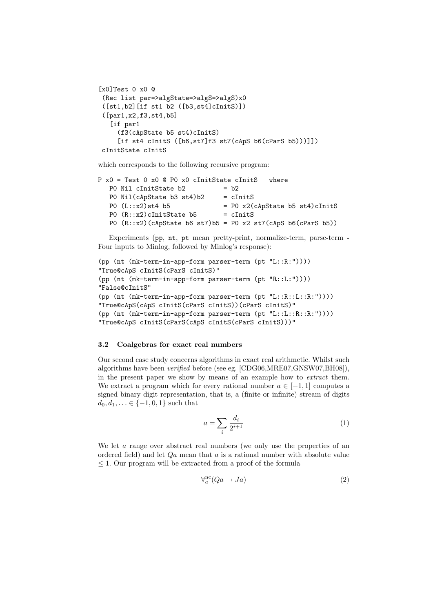```
[x0]Test 0 x0 @
 (Rec list par=>algState=>algS=>algS)x0
 ([st1,b2][if st1 b2 ([b3,st4]cInitS)])
 ([par1,x2,f3,st4,b5]
   [if par1
     (f3(cApState b5 st4)cInitS)
     [if st4 cInitS ([b6,st7]f3 st7(cApS b6(cParS b5)))]])
cInitState cInitS
```
which corresponds to the following recursive program:

```
P x0 = Test 0 x0 @ P0 x0 cInitState cInitS where
  P0 Nil cInitState b2 = b2P0 Nil(cApState b3 st4)b2 = cInitS
  P0 (L::x2)st4 b5 = P0 x2(cApState b5 st4)cInitS
  P0 (R::x2)cInitState b5 = cInitS
  P0 (R::x2) (cApState b6 st7)b5 = P0 x2 st7(cApS b6(cParS b5))
```
Experiments (pp, nt, pt mean pretty-print, normalize-term, parse-term - Four inputs to Minlog, followed by Minlog's response):

```
(pp (nt (mk-term-in-app-form parser-term (pt "L::R:"))))
"True@cApS cInitS(cParS cInitS)"
(pp (nt (mk-term-in-app-form parser-term (pt "R::L:"))))
"False@cInitS"
(pp (nt (mk-term-in-app-form parser-term (pt "L::R::L::R:"))))
"True@cApS(cApS cInitS(cParS cInitS))(cParS cInitS)"
(pp (nt (mk-term-in-app-form parser-term (pt "L::L::R::R:"))))
"True@cApS cInitS(cParS(cApS cInitS(cParS cInitS)))"
```
#### 3.2 Coalgebras for exact real numbers

Our second case study concerns algorithms in exact real arithmetic. Whilst such algorithms have been verified before (see eg. [CDG06,MRE07,GNSW07,BH08]), in the present paper we show by means of an example how to extract them. We extract a program which for every rational number  $a \in [-1,1]$  computes a signed binary digit representation, that is, a (finite or infinite) stream of digits  $d_0, d_1, \ldots \in \{-1, 0, 1\}$  such that

$$
a = \sum_{i} \frac{d_i}{2^{i+1}} \tag{1}
$$

We let a range over abstract real numbers (we only use the properties of an ordered field) and let  $Qa$  mean that  $a$  is a rational number with absolute value  $\leq$  1. Our program will be extracted from a proof of the formula

$$
\forall_a^{\rm nc}(Qa \to Ja) \tag{2}
$$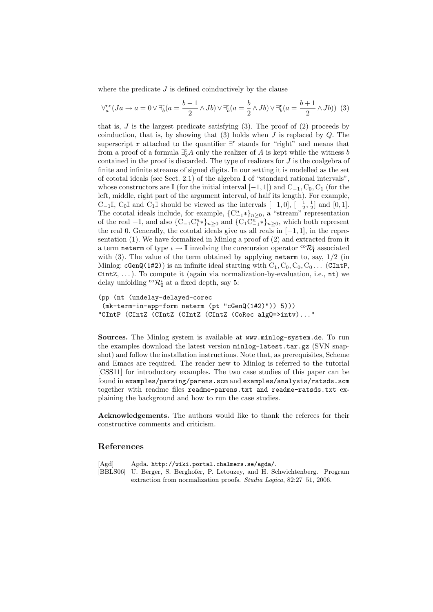where the predicate  $J$  is defined coinductively by the clause

$$
\forall_a^{\text{nc}}(Ja \to a=0 \lor \exists_b^{\text{r}}(a=\frac{b-1}{2} \land Jb) \lor \exists_b^{\text{r}}(a=\frac{b}{2} \land Jb) \lor \exists_b^{\text{r}}(a=\frac{b+1}{2} \land Jb)) \tag{3}
$$

that is,  $J$  is the largest predicate satisfying (3). The proof of (2) proceeds by coinduction, that is, by showing that  $(3)$  holds when J is replaced by Q. The superscript **r** attached to the quantifier  $\exists$ <sup>r</sup> stands for "right" and means that from a proof of a formula  $\exists_b^{\mathrm{r}} A$  only the realizer of A is kept while the witness b contained in the proof is discarded. The type of realizers for J is the coalgebra of finite and infinite streams of signed digits. In our setting it is modelled as the set of cototal ideals (see Sect. 2.1) of the algebra I of "standard rational intervals", whose constructors are I (for the initial interval  $[-1, 1]$ ) and  $C_{-1}$ ,  $C_0$ ,  $C_1$  (for the left, middle, right part of the argument interval, of half its length). For example, C<sub>−1</sub>I, C<sub>0</sub>I and C<sub>1</sub>I should be viewed as the intervals  $[-1, 0]$ ,  $[-\frac{1}{2}, \frac{1}{2}]$  and [0, 1]. The cototal ideals include, for example,  ${C_{-1}^n*}_{n\geq 0}$ , a "stream" representation of the real  $-1$ , and also  ${C_{-1}C_1^n *}_{n\geq 0}$  and  ${C_1C_{-1}^n *}_{n\geq 0}$ , which both represent the real 0. Generally, the cototal ideals give us all reals in  $[-1, 1]$ , in the representation (1). We have formalized in Minlog a proof of (2) and extracted from it a term neterm of type  $\iota \to I$  involving the corecursion operator  ${}^{co}\mathcal{R}_I^\iota$  associated with  $(3)$ . The value of the term obtained by applying neterm to, say,  $1/2$  (in Minlog: cGenQ(1#2)) is an infinite ideal starting with  $C_1, C_0, C_0, C_0, \ldots$  (CIntP, CintZ, ...). To compute it (again via normalization-by-evaluation, i.e.,  $nt$ ) we delay unfolding  ${}^{co}\mathcal{R}_I^{\iota}$  at a fixed depth, say 5:

```
(pp (nt (undelay-delayed-corec
 (mk-term-in-app-form neterm (pt "cGenQ(1#2)")) 5)))
"CIntP (CIntZ (CIntZ (CIntZ (CIntZ (CoRec algQ=>intv)..."
```
Sources. The Minlog system is available at www.minlog-system.de. To run the examples download the latest version minlog-latest.tar.gz (SVN snapshot) and follow the installation instructions. Note that, as prerequisites, Scheme and Emacs are required. The reader new to Minlog is referred to the tutorial [CSS11] for introductory examples. The two case studies of this paper can be found in examples/parsing/parens.scm and examples/analysis/ratsds.scm together with readme files readme-parens.txt and readme-ratsds.txt explaining the background and how to run the case studies.

Acknowledgements. The authors would like to thank the referees for their constructive comments and criticism.

## References

[Agd] Agda. http://wiki.portal.chalmers.se/agda/. [BBLS06] U. Berger, S. Berghofer, P. Letouzey, and H. Schwichtenberg. Program extraction from normalization proofs. Studia Logica, 82:27–51, 2006.